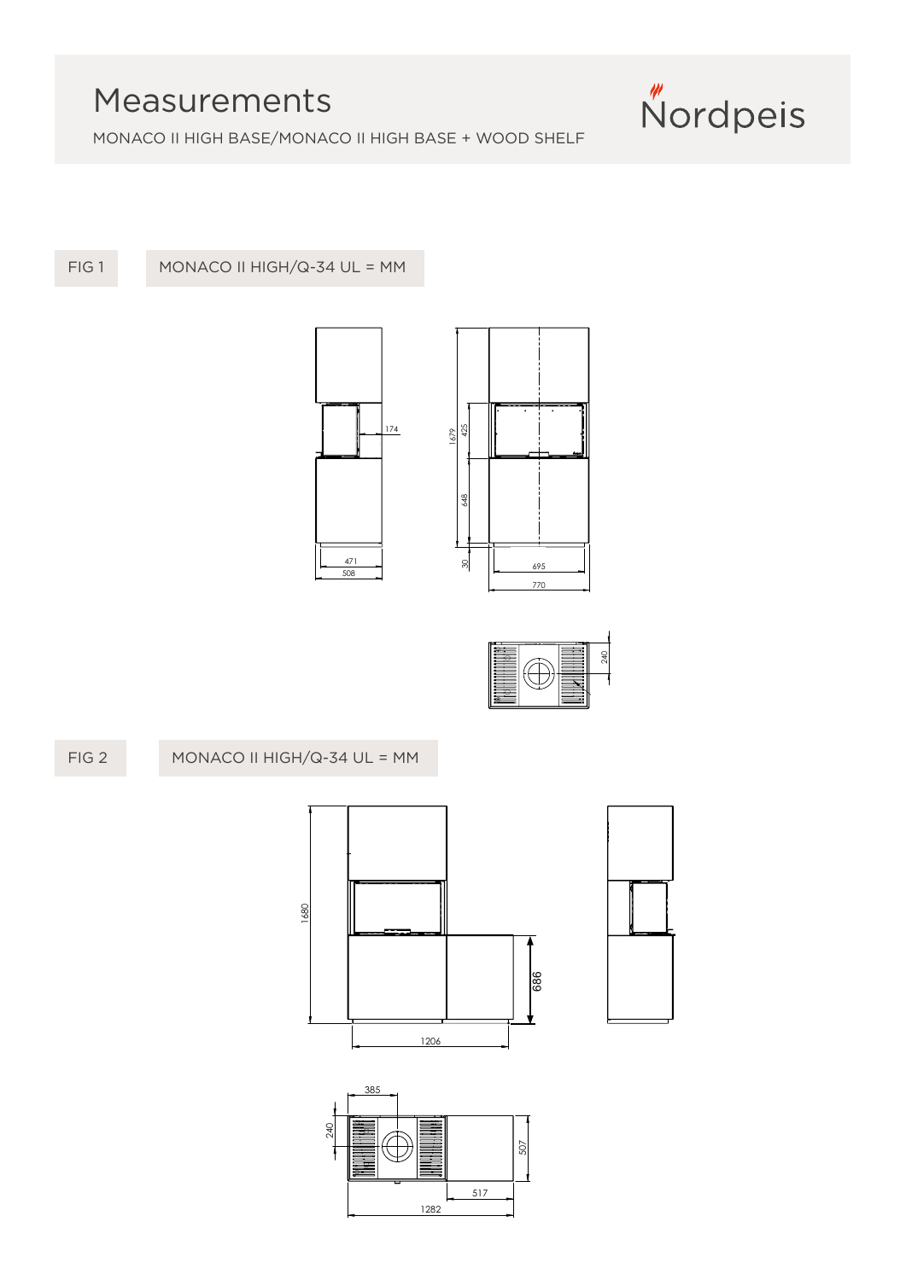## Measurements



MONACO II HIGH BASE/MONACO II HIGH BASE + WOOD SHELF

FIG 1

MONACO II HIGH/Q-34 UL = MM





## and must not be copied or communicated to any third person without Nordpeis (Northstar Sp. z o.o.) written permission Monaco II High / Q-34 UL =mm**FIG 1 a** MONACO II HIGH/Q-34 UL = MMFIG 2